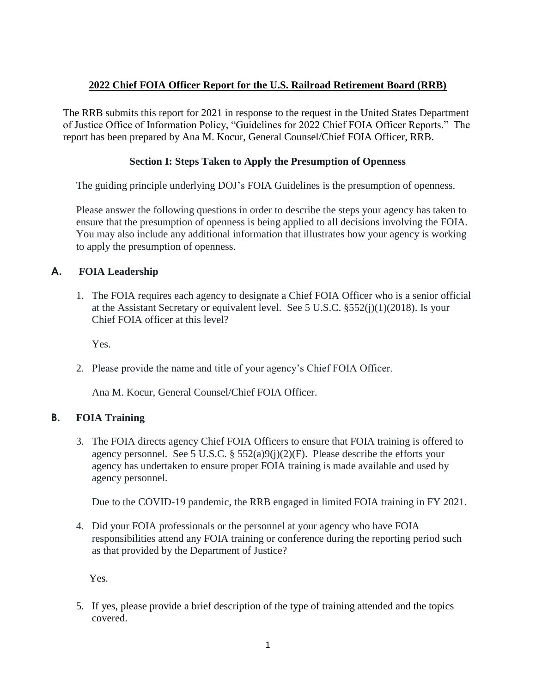## **2022 Chief FOIA Officer Report for the U.S. Railroad Retirement Board (RRB)**

The RRB submits this report for 2021 in response to the request in the United States Department of Justice Office of Information Policy, "Guidelines for 2022 Chief FOIA Officer Reports." The report has been prepared by Ana M. Kocur, General Counsel/Chief FOIA Officer, RRB.

## **Section I: Steps Taken to Apply the Presumption of Openness**

The guiding principle underlying DOJ's FOIA Guidelines is the presumption of openness.

Please answer the following questions in order to describe the steps your agency has taken to ensure that the presumption of openness is being applied to all decisions involving the FOIA. You may also include any additional information that illustrates how your agency is working to apply the presumption of openness.

# **A. FOIA Leadership**

1. The FOIA requires each agency to designate a Chief FOIA Officer who is a senior official at the Assistant Secretary or equivalent level. See 5 U.S.C. §552(j)(1)(2018). Is your Chief FOIA officer at this level?

Yes.

2. Please provide the name and title of your agency's Chief FOIA Officer.

Ana M. Kocur, General Counsel/Chief FOIA Officer.

## **B. FOIA Training**

3. The FOIA directs agency Chief FOIA Officers to ensure that FOIA training is offered to agency personnel. See 5 U.S.C. §  $552(a)9(i)(2)(F)$ . Please describe the efforts your agency has undertaken to ensure proper FOIA training is made available and used by agency personnel.

Due to the COVID-19 pandemic, the RRB engaged in limited FOIA training in FY 2021.

4. Did your FOIA professionals or the personnel at your agency who have FOIA responsibilities attend any FOIA training or conference during the reporting period such as that provided by the Department of Justice?

Yes.

5. If yes, please provide a brief description of the type of training attended and the topics covered.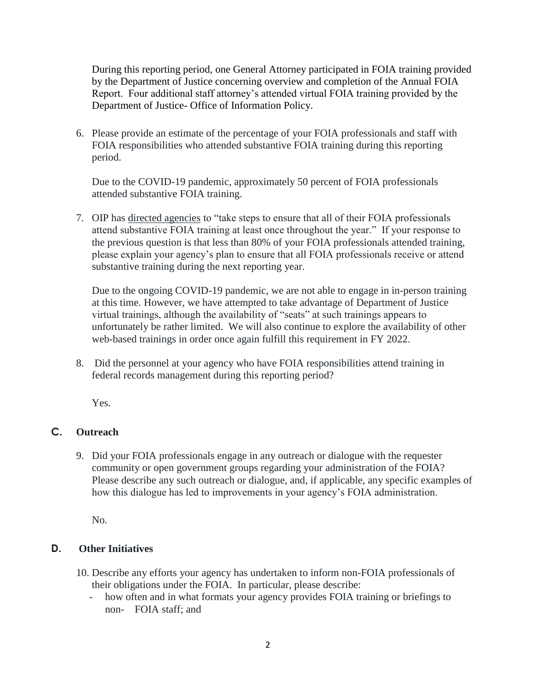During this reporting period, one General Attorney participated in FOIA training provided by the Department of Justice concerning overview and completion of the Annual FOIA Report. Four additional staff attorney's attended virtual FOIA training provided by the Department of Justice- Office of Information Policy.

6. Please provide an estimate of the percentage of your FOIA professionals and staff with FOIA responsibilities who attended substantive FOIA training during this reporting period.

Due to the COVID-19 pandemic, approximately 50 percent of FOIA professionals attended substantive FOIA training.

 attend substantive FOIA training at least once throughout the year." If your response to 7. OIP has directed agencies to "take steps to ensure that all of their FOIA professionals the previous question is that less than 80% of your FOIA professionals attended training, please explain your agency's plan to ensure that all FOIA professionals receive or attend substantive training during the next reporting year.

 Due to the ongoing COVID-19 pandemic, we are not able to engage in in-person training at this time. However, we have attempted to take advantage of Department of Justice virtual trainings, although the availability of "seats" at such trainings appears to unfortunately be rather limited. We will also continue to explore the availability of other web-based trainings in order once again fulfill this requirement in FY 2022.

8. Did the personnel at your agency who have FOIA responsibilities attend training in federal records management during this reporting period?

Yes.

# **C. Outreach**

 community or open government groups regarding your administration of the FOIA? 9. Did your FOIA professionals engage in any outreach or dialogue with the requester Please describe any such outreach or dialogue, and, if applicable, any specific examples of how this dialogue has led to improvements in your agency's FOIA administration.

No.

# **D. Other Initiatives**

- 10. Describe any efforts your agency has undertaken to inform non-FOIA professionals of their obligations under the FOIA. In particular, please describe:
	- non- FOIA staff; and - how often and in what formats your agency provides FOIA training or briefings to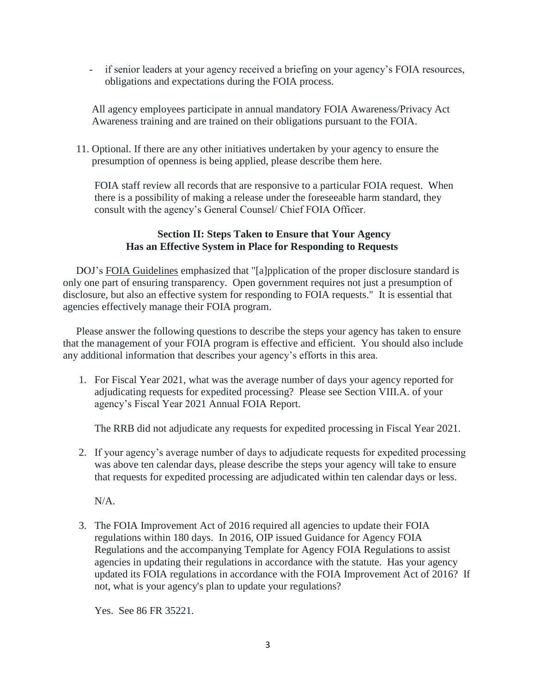- if senior leaders at your agency received a briefing on your agency's FOIA resources, obligations and expectations during the FOIA process.

All agency employees participate in annual mandatory FOIA Awareness/Privacy Act Awareness training and are trained on their obligations pursuant to the FOIA.

11. Optional. If there are any other initiatives undertaken by your agency to ensure the presumption of openness is being applied, please describe them here.

FOIA staff review all records that are responsive to a particular FOIA request. When there is a possibility of making a release under the foreseeable harm standard, they consult with the agency's General Counsel/ Chief FOIA Officer.

#### **Section II: Steps Taken to Ensure that Your Agency Has an Effective System in Place for Responding to Requests**

DOJ's FOIA Guidelines emphasized that "[a]pplication of the proper disclosure standard is only one part of ensuring transparency. Open government requires not just a presumption of disclosure, but also an effective system for responding to FOIA requests." It is essential that agencies effectively manage their FOIA program.

Please answer the following questions to describe the steps your agency has taken to ensure that the management of your FOIA program is effective and efficient. You should also include any additional information that describes your agency's efforts in this area.

1. For Fiscal Year 2021, what was the average number of days your agency reported for adjudicating requests for expedited processing? Please see Section VIII.A. of your agency's Fiscal Year 2021 Annual FOIA Report.

The RRB did not adjudicate any requests for expedited processing in Fiscal Year 2021.

2. If your agency's average number of days to adjudicate requests for expedited processing was above ten calendar days, please describe the steps your agency will take to ensure that requests for expedited processing are adjudicated within ten calendar days or less.

N/A.

 Regulations and the accompanying Template for Agency FOIA Regulations to assist 3. The FOIA Improvement Act of 2016 required all agencies to update their FOIA regulations within 180 days. In 2016, OIP issued Guidance for Agency FOIA agencies in updating their regulations in accordance with the statute. Has your agency updated its FOIA regulations in accordance with the FOIA Improvement Act of 2016? If not, what is your agency's plan to update your regulations?

Yes. See 86 FR 35221.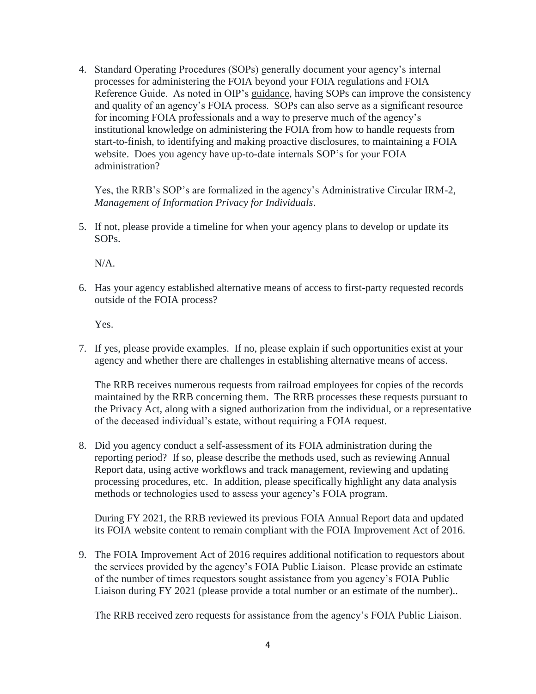4. Standard Operating Procedures (SOPs) generally document your agency's internal processes for administering the FOIA beyond your FOIA regulations and FOIA Reference Guide. As noted in OIP's guidance, having SOPs can improve the consistency and quality of an agency's FOIA process. SOPs can also serve as a significant resource for incoming FOIA professionals and a way to preserve much of the agency's institutional knowledge on administering the FOIA from how to handle requests from start-to-finish, to identifying and making proactive disclosures, to maintaining a FOIA website. Does you agency have up-to-date internals SOP's for your FOIA administration?

Yes, the RRB's SOP's are formalized in the agency's Administrative Circular IRM-2, *Management of Information Privacy for Individuals*.

5. If not, please provide a timeline for when your agency plans to develop or update its SOPs.

N/A.

6. Has your agency established alternative means of access to first-party requested records outside of the FOIA process?

Yes.

7. If yes, please provide examples. If no, please explain if such opportunities exist at your agency and whether there are challenges in establishing alternative means of access.

The RRB receives numerous requests from railroad employees for copies of the records maintained by the RRB concerning them. The RRB processes these requests pursuant to the Privacy Act, along with a signed authorization from the individual, or a representative of the deceased individual's estate, without requiring a FOIA request.

 reporting period? If so, please describe the methods used, such as reviewing Annual Report data, using active workflows and track management, reviewing and updating processing procedures, etc. In addition, please specifically highlight any data analysis 8. Did you agency conduct a self-assessment of its FOIA administration during the methods or technologies used to assess your agency's FOIA program.

During FY 2021, the RRB reviewed its previous FOIA Annual Report data and updated its FOIA website content to remain compliant with the FOIA Improvement Act of 2016.

9. The FOIA Improvement Act of 2016 requires additional notification to requestors about the services provided by the agency's FOIA Public Liaison. Please provide an estimate of the number of times requestors sought assistance from you agency's FOIA Public Liaison during FY 2021 (please provide a total number or an estimate of the number)..

The RRB received zero requests for assistance from the agency's FOIA Public Liaison.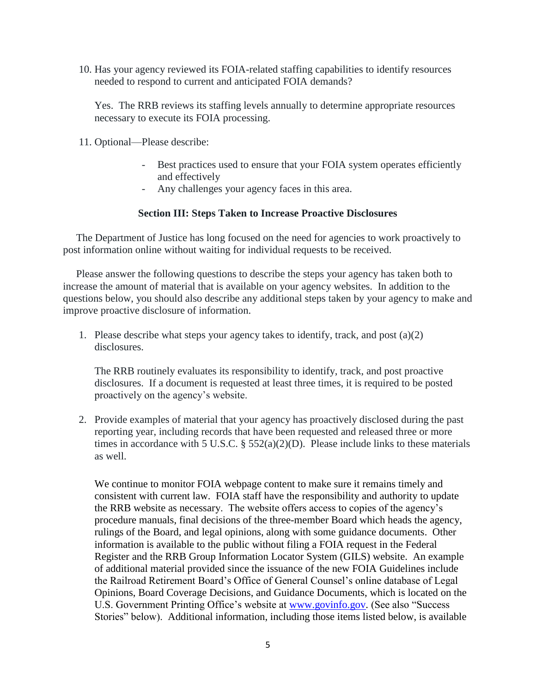10. Has your agency reviewed its FOIA-related staffing capabilities to identify resources needed to respond to current and anticipated FOIA demands?

Yes. The RRB reviews its staffing levels annually to determine appropriate resources necessary to execute its FOIA processing.

- 11. Optional—Please describe:
	- Best practices used to ensure that your FOIA system operates efficiently and effectively
	- Any challenges your agency faces in this area.

#### **Section III: Steps Taken to Increase Proactive Disclosures**

The Department of Justice has long focused on the need for agencies to work proactively to post information online without waiting for individual requests to be received.

Please answer the following questions to describe the steps your agency has taken both to increase the amount of material that is available on your agency websites. In addition to the questions below, you should also describe any additional steps taken by your agency to make and improve proactive disclosure of information.

1. Please describe what steps your agency takes to identify, track, and post  $(a)(2)$ disclosures.

The RRB routinely evaluates its responsibility to identify, track, and post proactive disclosures. If a document is requested at least three times, it is required to be posted proactively on the agency's website.

times in accordance with 5 U.S.C.  $\S 552(a)(2)(D)$ . Please include links to these materials 2. Provide examples of material that your agency has proactively disclosed during the past reporting year, including records that have been requested and released three or more as well.

 consistent with current law. FOIA staff have the responsibility and authority to update Stories" below). Additional information, including those items listed below, is available We continue to monitor FOIA webpage content to make sure it remains timely and the RRB website as necessary. The website offers access to copies of the agency's procedure manuals, final decisions of the three-member Board which heads the agency, rulings of the Board, and legal opinions, along with some guidance documents. Other information is available to the public without filing a FOIA request in the Federal Register and the RRB Group Information Locator System (GILS) website. An example of additional material provided since the issuance of the new FOIA Guidelines include the Railroad Retirement Board's Office of General Counsel's online database of Legal Opinions, Board Coverage Decisions, and Guidance Documents, which is located on the U.S. Government Printing Office's website at [www.govinfo.gov.](http://www.govinfo.gov/) (See also "Success"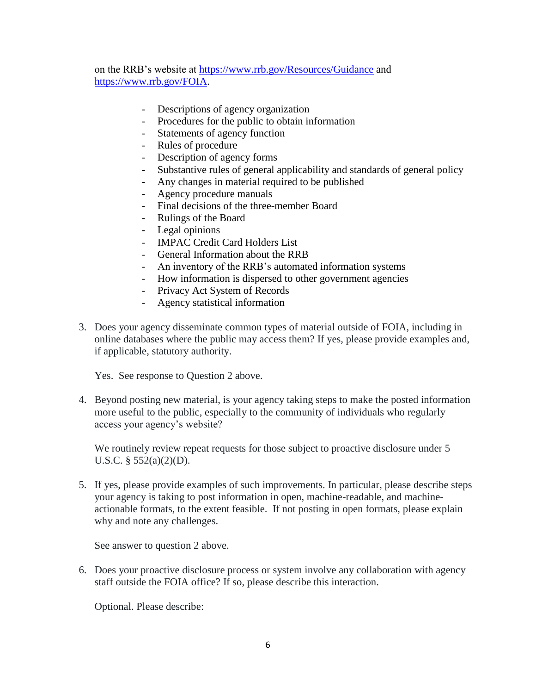on the RRB's website at<https://www.rrb.gov/Resources/Guidance>and [https://www.rrb.gov/FOIA.](https://www.rrb.gov/FOIA)

- Descriptions of agency organization
- Procedures for the public to obtain information
- Statements of agency function
- Rules of procedure
- Description of agency forms
- Substantive rules of general applicability and standards of general policy
- Any changes in material required to be published
- Agency procedure manuals
- Final decisions of the three-member Board
- Rulings of the Board
- Legal opinions
- IMPAC Credit Card Holders List
- General Information about the RRB
- An inventory of the RRB's automated information systems
- How information is dispersed to other government agencies
- Privacy Act System of Records
- Agency statistical information
- 3. Does your agency disseminate common types of material outside of FOIA, including in online databases where the public may access them? If yes, please provide examples and, if applicable, statutory authority.

Yes. See response to Question 2 above.

4. Beyond posting new material, is your agency taking steps to make the posted information more useful to the public, especially to the community of individuals who regularly access your agency's website?

We routinely review repeat requests for those subject to proactive disclosure under 5 U.S.C. § 552(a)(2)(D).

why and note any challenges. 5. If yes, please provide examples of such improvements. In particular, please describe steps your agency is taking to post information in open, machine-readable, and machineactionable formats, to the extent feasible. If not posting in open formats, please explain

See answer to question 2 above.

6. Does your proactive disclosure process or system involve any collaboration with agency staff outside the FOIA office? If so, please describe this interaction.

Optional. Please describe: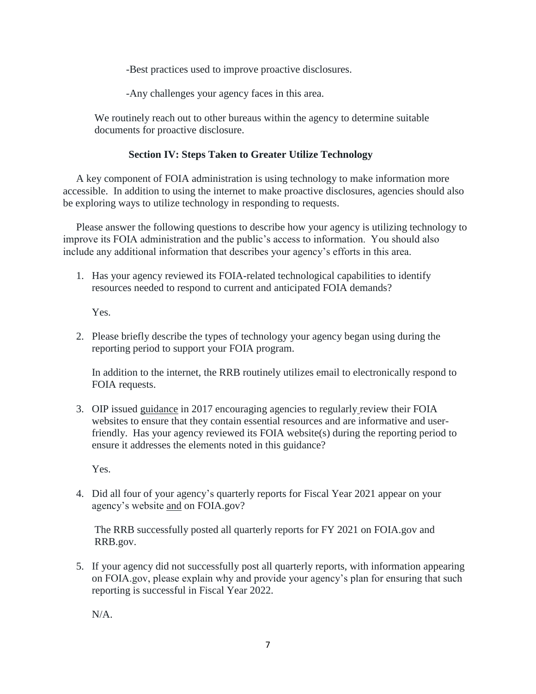-Best practices used to improve proactive disclosures.

-Any challenges your agency faces in this area.

We routinely reach out to other bureaus within the agency to determine suitable documents for proactive disclosure.

## **Section IV: Steps Taken to Greater Utilize Technology**

A key component of FOIA administration is using technology to make information more accessible. In addition to using the internet to make proactive disclosures, agencies should also be exploring ways to utilize technology in responding to requests.

Please answer the following questions to describe how your agency is utilizing technology to improve its FOIA administration and the public's access to information. You should also include any additional information that describes your agency's efforts in this area.

1. Has your agency reviewed its FOIA-related technological capabilities to identify resources needed to respond to current and anticipated FOIA demands?

Yes.

2. Please briefly describe the types of technology your agency began using during the reporting period to support your FOIA program.

In addition to the internet, the RRB routinely utilizes email to electronically respond to FOIA requests.

3. OIP issued guidance in 2017 encouraging agencies to regularly review their FOIA websites to ensure that they contain essential resources and are informative and userfriendly. Has your agency reviewed its FOIA website(s) during the reporting period to ensure it addresses the elements noted in this guidance?

Yes.

4. Did all four of your agency's quarterly reports for Fiscal Year 2021 appear on your agency's website and on [FOIA.gov](https://FOIA.gov)?

The RRB successfully posted all quarterly reports for FY 2021 on [FOIA.gov](https://FOIA.gov) and RRB.gov.

 on [FOIA.gov,](https://FOIA.gov) please explain why and provide your agency's plan for ensuring that such 5. If your agency did not successfully post all quarterly reports, with information appearing reporting is successful in Fiscal Year 2022.

 $N/A$ .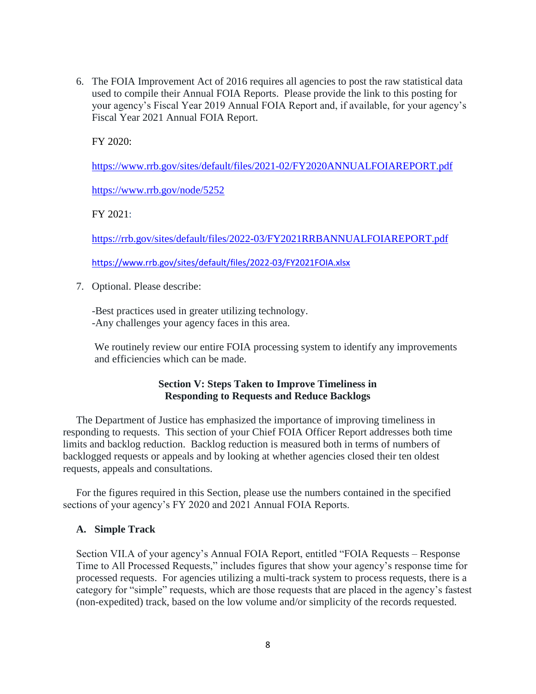6. The FOIA Improvement Act of 2016 requires all agencies to post the raw statistical data used to compile their Annual FOIA Reports. Please provide the link to this posting for your agency's Fiscal Year 2019 Annual FOIA Report and, if available, for your agency's Fiscal Year 2021 Annual FOIA Report.

FY 2020:

<https://www.rrb.gov/sites/default/files/2021-02/FY2020ANNUALFOIAREPORT.pdf>

<https://www.rrb.gov/node/5252>

FY 2021:

<https://rrb.gov/sites/default/files/2022-03/FY2021RRBANNUALFOIAREPORT.pdf>

<https://www.rrb.gov/sites/default/files/2022-03/FY2021FOIA.xlsx>

7. Optional. Please describe:

-Best practices used in greater utilizing technology. -Any challenges your agency faces in this area.

We routinely review our entire FOIA processing system to identify any improvements and efficiencies which can be made.

#### **Section V: Steps Taken to Improve Timeliness in Responding to Requests and Reduce Backlogs**

The Department of Justice has emphasized the importance of improving timeliness in responding to requests. This section of your Chief FOIA Officer Report addresses both time limits and backlog reduction. Backlog reduction is measured both in terms of numbers of backlogged requests or appeals and by looking at whether agencies closed their ten oldest requests, appeals and consultations.

For the figures required in this Section, please use the numbers contained in the specified sections of your agency's FY 2020 and 2021 Annual FOIA Reports.

#### **A. Simple Track**

 category for "simple" requests, which are those requests that are placed in the agency's fastest Section VII.A of your agency's Annual FOIA Report, entitled "FOIA Requests – Response Time to All Processed Requests," includes figures that show your agency's response time for processed requests. For agencies utilizing a multi-track system to process requests, there is a (non-expedited) track, based on the low volume and/or simplicity of the records requested.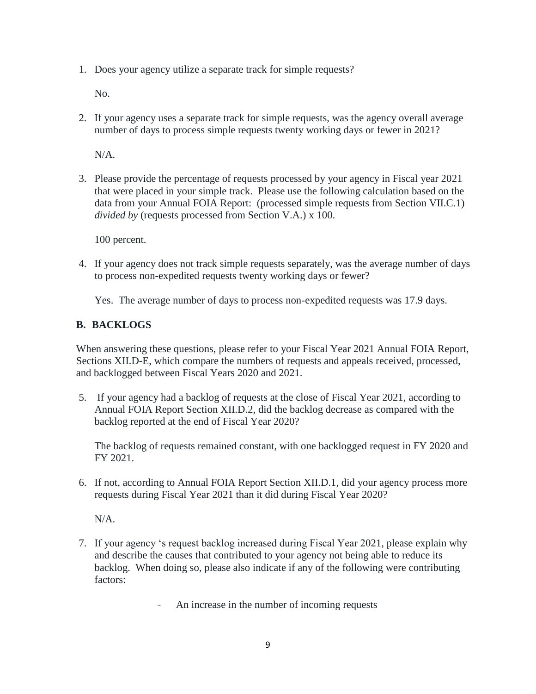1. Does your agency utilize a separate track for simple requests?

No.

2. If your agency uses a separate track for simple requests, was the agency overall average number of days to process simple requests twenty working days or fewer in 2021?

N/A.

 that were placed in your simple track. Please use the following calculation based on the 3. Please provide the percentage of requests processed by your agency in Fiscal year 2021 data from your Annual FOIA Report: (processed simple requests from Section VII.C.1) *divided by* (requests processed from Section V.A.) x 100.

100 percent.

4. If your agency does not track simple requests separately, was the average number of days to process non-expedited requests twenty working days or fewer?

Yes. The average number of days to process non-expedited requests was 17.9 days.

#### **B. BACKLOGS**

When answering these questions, please refer to your Fiscal Year 2021 Annual FOIA Report, Sections XII.D-E, which compare the numbers of requests and appeals received, processed, and backlogged between Fiscal Years 2020 and 2021.

 5. If your agency had a backlog of requests at the close of Fiscal Year 2021, according to Annual FOIA Report Section XII.D.2, did the backlog decrease as compared with the backlog reported at the end of Fiscal Year 2020?

The backlog of requests remained constant, with one backlogged request in FY 2020 and FY 2021.

6. If not, according to Annual FOIA Report Section XII.D.1, did your agency process more requests during Fiscal Year 2021 than it did during Fiscal Year 2020?

N/A.

 backlog. When doing so, please also indicate if any of the following were contributing 7. If your agency 's request backlog increased during Fiscal Year 2021, please explain why and describe the causes that contributed to your agency not being able to reduce its factors:

- An increase in the number of incoming requests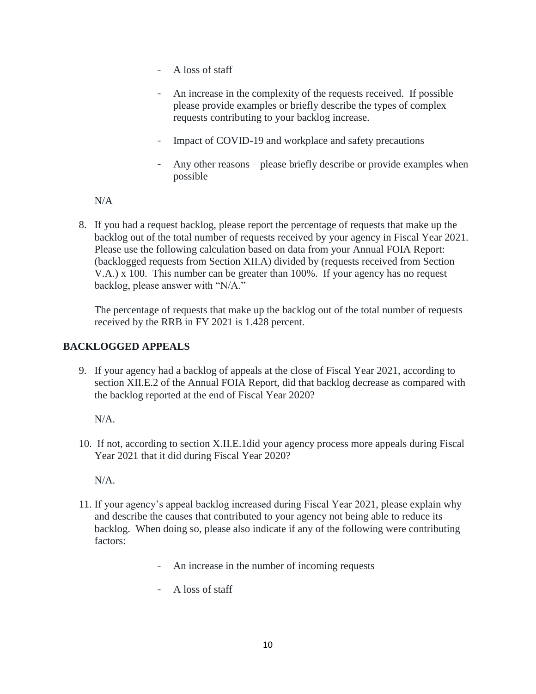- A loss of staff
- An increase in the complexity of the requests received. If possible please provide examples or briefly describe the types of complex requests contributing to your backlog increase.
- Impact of COVID-19 and workplace and safety precautions
- Any other reasons please briefly describe or provide examples when possible

N/A

 8. If you had a request backlog, please report the percentage of requests that make up the backlog out of the total number of requests received by your agency in Fiscal Year 2021. Please use the following calculation based on data from your Annual FOIA Report: backlog, please answer with "N/A." (backlogged requests from Section XII.A) divided by (requests received from Section V.A.) x 100. This number can be greater than 100%. If your agency has no request

The percentage of requests that make up the backlog out of the total number of requests received by the RRB in FY 2021 is 1.428 percent.

## **BACKLOGGED APPEALS**

 the backlog reported at the end of Fiscal Year 2020? N/A. 9. If your agency had a backlog of appeals at the close of Fiscal Year 2021, according to section XII.E.2 of the Annual FOIA Report, did that backlog decrease as compared with

10. If not, according to section X.II.E.1did your agency process more appeals during Fiscal Year 2021 that it did during Fiscal Year 2020?

N/A.

- 11. If your agency's appeal backlog increased during Fiscal Year 2021, please explain why backlog. When doing so, please also indicate if any of the following were contributing and describe the causes that contributed to your agency not being able to reduce its factors:
	- An increase in the number of incoming requests
	- A loss of staff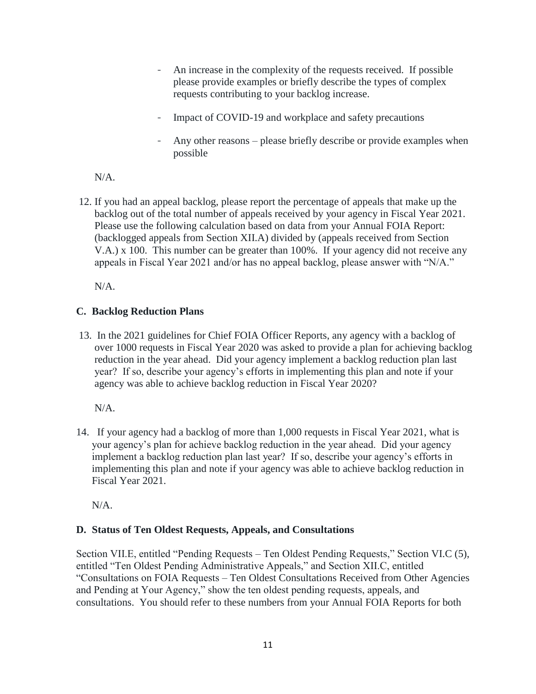- An increase in the complexity of the requests received. If possible please provide examples or briefly describe the types of complex requests contributing to your backlog increase.
- Impact of COVID-19 and workplace and safety precautions
- Any other reasons please briefly describe or provide examples when possible

N/A.

 appeals in Fiscal Year 2021 and/or has no appeal backlog, please answer with "N/A." 12. If you had an appeal backlog, please report the percentage of appeals that make up the backlog out of the total number of appeals received by your agency in Fiscal Year 2021. Please use the following calculation based on data from your Annual FOIA Report: (backlogged appeals from Section XII.A) divided by (appeals received from Section V.A.) x 100. This number can be greater than 100%. If your agency did not receive any

N/A.

## **C. Backlog Reduction Plans**

 year? If so, describe your agency's efforts in implementing this plan and note if your 13. In the 2021 guidelines for Chief FOIA Officer Reports, any agency with a backlog of over 1000 requests in Fiscal Year 2020 was asked to provide a plan for achieving backlog reduction in the year ahead. Did your agency implement a backlog reduction plan last agency was able to achieve backlog reduction in Fiscal Year 2020?

N/A.

 14. If your agency had a backlog of more than 1,000 requests in Fiscal Year 2021, what is implement a backlog reduction plan last year? If so, describe your agency's efforts in your agency's plan for achieve backlog reduction in the year ahead. Did your agency implementing this plan and note if your agency was able to achieve backlog reduction in Fiscal Year 2021.

N/A.

## **D. Status of Ten Oldest Requests, Appeals, and Consultations**

Section VII.E, entitled "Pending Requests – Ten Oldest Pending Requests," Section VI.C (5), entitled "Ten Oldest Pending Administrative Appeals," and Section XII.C, entitled "Consultations on FOIA Requests – Ten Oldest Consultations Received from Other Agencies and Pending at Your Agency," show the ten oldest pending requests, appeals, and consultations. You should refer to these numbers from your Annual FOIA Reports for both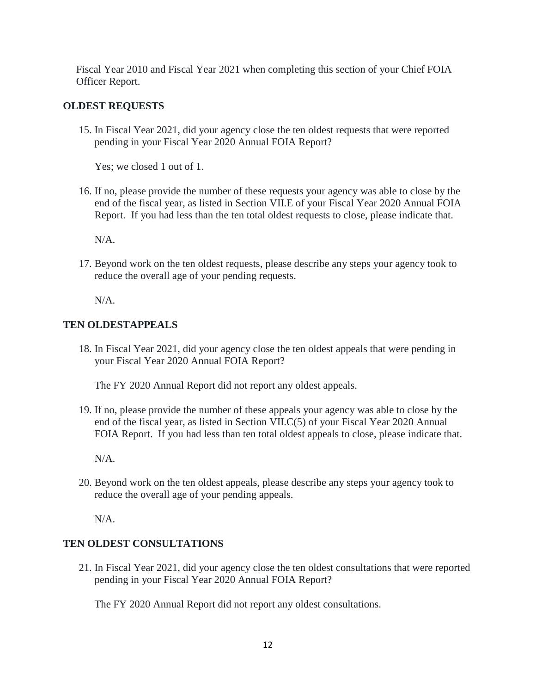Fiscal Year 2010 and Fiscal Year 2021 when completing this section of your Chief FOIA Officer Report.

#### **OLDEST REQUESTS**

15. In Fiscal Year 2021, did your agency close the ten oldest requests that were reported pending in your Fiscal Year 2020 Annual FOIA Report?

Yes; we closed 1 out of 1.

 16. If no, please provide the number of these requests your agency was able to close by the end of the fiscal year, as listed in Section VII.E of your Fiscal Year 2020 Annual FOIA Report. If you had less than the ten total oldest requests to close, please indicate that.

N/A.

17. Beyond work on the ten oldest requests, please describe any steps your agency took to reduce the overall age of your pending requests.

N/A.

#### **TEN OLDESTAPPEALS**

18. In Fiscal Year 2021, did your agency close the ten oldest appeals that were pending in your Fiscal Year 2020 Annual FOIA Report?

The FY 2020 Annual Report did not report any oldest appeals.

19. If no, please provide the number of these appeals your agency was able to close by the end of the fiscal year, as listed in Section VII.C(5) of your Fiscal Year 2020 Annual FOIA Report. If you had less than ten total oldest appeals to close, please indicate that.

N/A.

20. Beyond work on the ten oldest appeals, please describe any steps your agency took to reduce the overall age of your pending appeals.

N/A.

#### **TEN OLDEST CONSULTATIONS**

21. In Fiscal Year 2021, did your agency close the ten oldest consultations that were reported pending in your Fiscal Year 2020 Annual FOIA Report?

The FY 2020 Annual Report did not report any oldest consultations.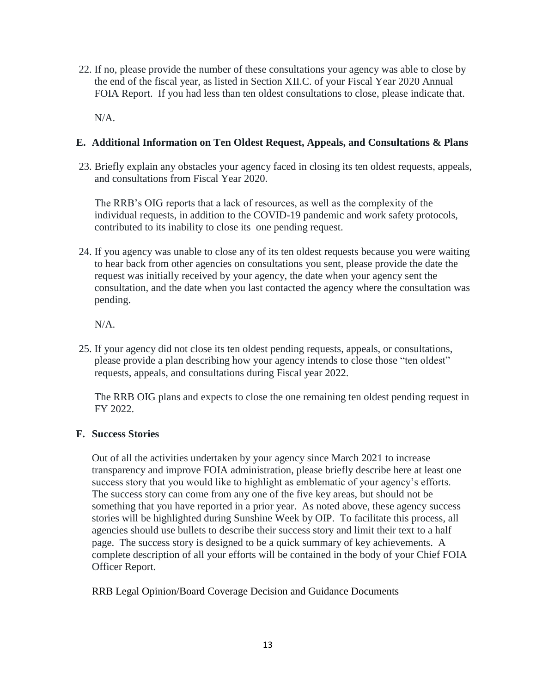22. If no, please provide the number of these consultations your agency was able to close by the end of the fiscal year, as listed in Section XII.C. of your Fiscal Year 2020 Annual FOIA Report. If you had less than ten oldest consultations to close, please indicate that.

N/A.

#### **E. Additional Information on Ten Oldest Request, Appeals, and Consultations & Plans**

23. Briefly explain any obstacles your agency faced in closing its ten oldest requests, appeals, and consultations from Fiscal Year 2020.

The RRB's OIG reports that a lack of resources, as well as the complexity of the individual requests, in addition to the COVID-19 pandemic and work safety protocols, contributed to its inability to close its one pending request.

 24. If you agency was unable to close any of its ten oldest requests because you were waiting request was initially received by your agency, the date when your agency sent the to hear back from other agencies on consultations you sent, please provide the date the consultation, and the date when you last contacted the agency where the consultation was pending.

N/A.

25. If your agency did not close its ten oldest pending requests, appeals, or consultations, please provide a plan describing how your agency intends to close those "ten oldest" requests, appeals, and consultations during Fiscal year 2022.

The RRB OIG plans and expects to close the one remaining ten oldest pending request in FY 2022.

#### **F. Success Stories**

 Out of all the activities undertaken by your agency since March 2021 to increase transparency and improve FOIA administration, please briefly describe here at least one success story that you would like to highlight as emblematic of your agency's efforts. The success story can come from any one of the five key areas, but should not be something that you have reported in a prior year. As noted above, these agency success stories will be highlighted during Sunshine Week by OIP. To facilitate this process, all agencies should use bullets to describe their success story and limit their text to a half page. The success story is designed to be a quick summary of key achievements. A complete description of all your efforts will be contained in the body of your Chief FOIA Officer Report.

#### RRB Legal Opinion/Board Coverage Decision and Guidance Documents